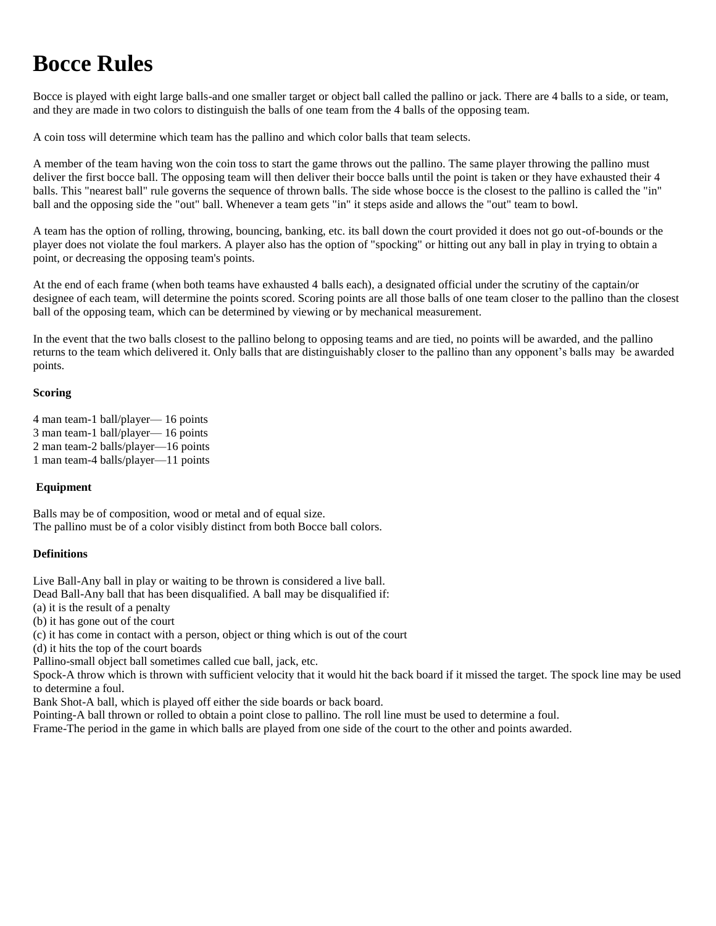# **Bocce Rules**

Bocce is played with eight large balls-and one smaller target or object ball called the pallino or jack. There are 4 balls to a side, or team, and they are made in two colors to distinguish the balls of one team from the 4 balls of the opposing team.

A coin toss will determine which team has the pallino and which color balls that team selects.

A member of the team having won the coin toss to start the game throws out the pallino. The same player throwing the pallino must deliver the first bocce ball. The opposing team will then deliver their bocce balls until the point is taken or they have exhausted their 4 balls. This "nearest ball" rule governs the sequence of thrown balls. The side whose bocce is the closest to the pallino is called the "in" ball and the opposing side the "out" ball. Whenever a team gets "in" it steps aside and allows the "out" team to bowl.

A team has the option of rolling, throwing, bouncing, banking, etc. its ball down the court provided it does not go out-of-bounds or the player does not violate the foul markers. A player also has the option of "spocking" or hitting out any ball in play in trying to obtain a point, or decreasing the opposing team's points.

At the end of each frame (when both teams have exhausted 4 balls each), a designated official under the scrutiny of the captain/or designee of each team, will determine the points scored. Scoring points are all those balls of one team closer to the pallino than the closest ball of the opposing team, which can be determined by viewing or by mechanical measurement.

In the event that the two balls closest to the pallino belong to opposing teams and are tied, no points will be awarded, and the pallino returns to the team which delivered it. Only balls that are distinguishably closer to the pallino than any opponent's balls may be awarded points.

## **Scoring**

- 4 man team-1 ball/player— 16 points 3 man team-1 ball/player— 16 points
- 2 man team-2 balls/player—16 points
- 
- 1 man team-4 balls/player—11 points

# **Equipment**

Balls may be of composition, wood or metal and of equal size. The pallino must be of a color visibly distinct from both Bocce ball colors.

# **Definitions**

Live Ball-Any ball in play or waiting to be thrown is considered a live ball.

Dead Ball-Any ball that has been disqualified. A ball may be disqualified if:

- (a) it is the result of a penalty
- (b) it has gone out of the court
- (c) it has come in contact with a person, object or thing which is out of the court
- (d) it hits the top of the court boards
- Pallino-small object ball sometimes called cue ball, jack, etc.

Spock-A throw which is thrown with sufficient velocity that it would hit the back board if it missed the target. The spock line may be used to determine a foul.

Bank Shot-A ball, which is played off either the side boards or back board.

Pointing-A ball thrown or rolled to obtain a point close to pallino. The roll line must be used to determine a foul.

Frame-The period in the game in which balls are played from one side of the court to the other and points awarded.